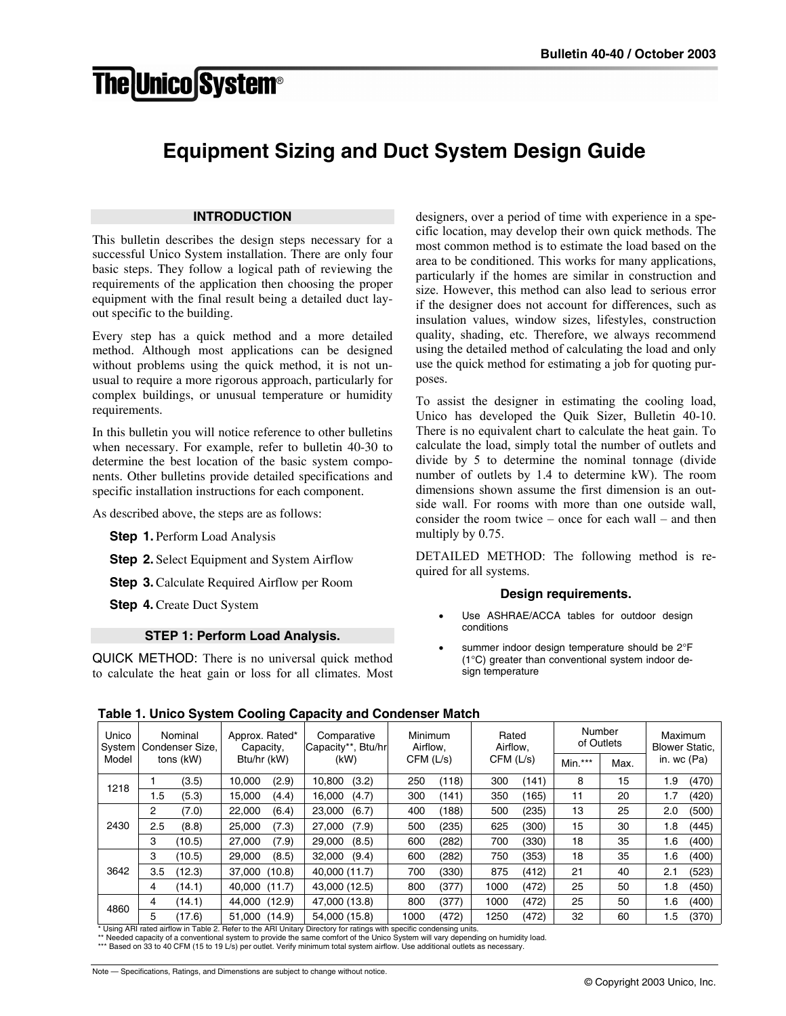# **The Unico System®**

# **Equipment Sizing and Duct System Design Guide**

#### **INTRODUCTION**

This bulletin describes the design steps necessary for a successful Unico System installation. There are only four basic steps. They follow a logical path of reviewing the requirements of the application then choosing the proper equipment with the final result being a detailed duct layout specific to the building.

Every step has a quick method and a more detailed method. Although most applications can be designed without problems using the quick method, it is not unusual to require a more rigorous approach, particularly for complex buildings, or unusual temperature or humidity requirements.

In this bulletin you will notice reference to other bulletins when necessary. For example, refer to bulletin 40-30 to determine the best location of the basic system components. Other bulletins provide detailed specifications and specific installation instructions for each component.

As described above, the steps are as follows:

**Step 1.** Perform Load Analysis

**Step 2.** Select Equipment and System Airflow

**Step 3.** Calculate Required Airflow per Room

**Step 4.** Create Duct System

#### **STEP 1: Perform Load Analysis.**

QUICK METHOD: There is no universal quick method to calculate the heat gain or loss for all climates. Most designers, over a period of time with experience in a specific location, may develop their own quick methods. The most common method is to estimate the load based on the area to be conditioned. This works for many applications, particularly if the homes are similar in construction and size. However, this method can also lead to serious error if the designer does not account for differences, such as insulation values, window sizes, lifestyles, construction quality, shading, etc. Therefore, we always recommend using the detailed method of calculating the load and only use the quick method for estimating a job for quoting purposes.

To assist the designer in estimating the cooling load, Unico has developed the Quik Sizer, Bulletin 40-10. There is no equivalent chart to calculate the heat gain. To calculate the load, simply total the number of outlets and divide by 5 to determine the nominal tonnage (divide number of outlets by 1.4 to determine kW). The room dimensions shown assume the first dimension is an outside wall. For rooms with more than one outside wall, consider the room twice – once for each wall – and then multiply by 0.75.

DETAILED METHOD: The following method is required for all systems.

#### **Design requirements.**

- Use ASHRAE/ACCA tables for outdoor design conditions
- summer indoor design temperature should be 2°F (1°C) greater than conventional system indoor design temperature

| <br>Unico<br>Nominal<br>Approx. Rated*<br>Condenser Size.<br>System<br>Capacity, |                |           | Comparative<br>Capacity**, Btu/hr |        | Minimum<br>Airflow. |       | Rated<br>Airflow, |       | Number<br>of Outlets |       | Maximum<br><b>Blower Static,</b> |    |     |       |
|----------------------------------------------------------------------------------|----------------|-----------|-----------------------------------|--------|---------------------|-------|-------------------|-------|----------------------|-------|----------------------------------|----|-----|-------|
| Model                                                                            |                | tons (kW) | Btu/hr (kW)                       |        | CFM (L/s)<br>(kW)   |       | CFM(L/s)          |       | $Min.***$            | Max.  | in. wc (Pa)                      |    |     |       |
| 1218                                                                             |                | (3.5)     | 10.000                            | (2.9)  | 10.800              | (3.2) | 250               | (118) | 300                  | (141) | 8                                | 15 | 1.9 | (470) |
|                                                                                  | 1.5            | (5.3)     | 15.000                            | (4.4)  | 16.000              | (4.7) | 300               | (141) | 350                  | (165) | 11                               | 20 | 1.7 | (420) |
|                                                                                  | $\overline{2}$ | (7.0)     | 22,000                            | (6.4)  | 23,000              | (6.7) | 400               | (188) | 500                  | (235) | 13                               | 25 | 2.0 | (500) |
| 2430                                                                             | 2.5            | (8.8)     | 25.000                            | (7.3)  | 27,000              | (7.9) | 500               | (235) | 625                  | (300) | 15                               | 30 | 1.8 | (445) |
|                                                                                  | 3              | (10.5)    | 27,000                            | (7.9)  | 29,000              | (8.5) | 600               | (282) | 700                  | (330) | 18                               | 35 | 1.6 | (400) |
|                                                                                  | 3              | (10.5)    | 29.000                            | (8.5)  | 32,000              | (9.4) | 600               | (282) | 750                  | (353) | 18                               | 35 | 1.6 | (400) |
| 3642                                                                             | 3.5            | (12.3)    | 37,000                            | (10.8) | 40.000 (11.7)       |       | 700               | (330) | 875                  | (412) | 21                               | 40 | 2.1 | (523) |
|                                                                                  | 4              | (14.1)    | 40.000                            | (11.7) | 43.000 (12.5)       |       | 800               | (377) | 1000                 | (472) | 25                               | 50 | 1.8 | (450) |
| 4860                                                                             | 4              | (14.1)    | 44.000                            | (12.9) | 47.000 (13.8)       |       | 800               | (377) | 1000                 | (472) | 25                               | 50 | 1.6 | (400) |
|                                                                                  | 5              | (17.6)    | 51.000                            | (14.9) | 54.000 (15.8)       |       | 1000              | (472) | 1250                 | (472) | 32                               | 60 | 1.5 | (370) |

Il rated airflow in Table 2. Refer to the ARI Unitary Directory

**Table 1. Unico System Cooling Capacity and Condenser Match** 

\*\* Needed capacity of a conventional system to provide the same comfort of the Unico System will vary depending on humidity load. \*\*\* Based on 33 to 40 CFM (15 to 19 L/s) per outlet. Verify minimum total system airflow. Use additional outlets as necessary.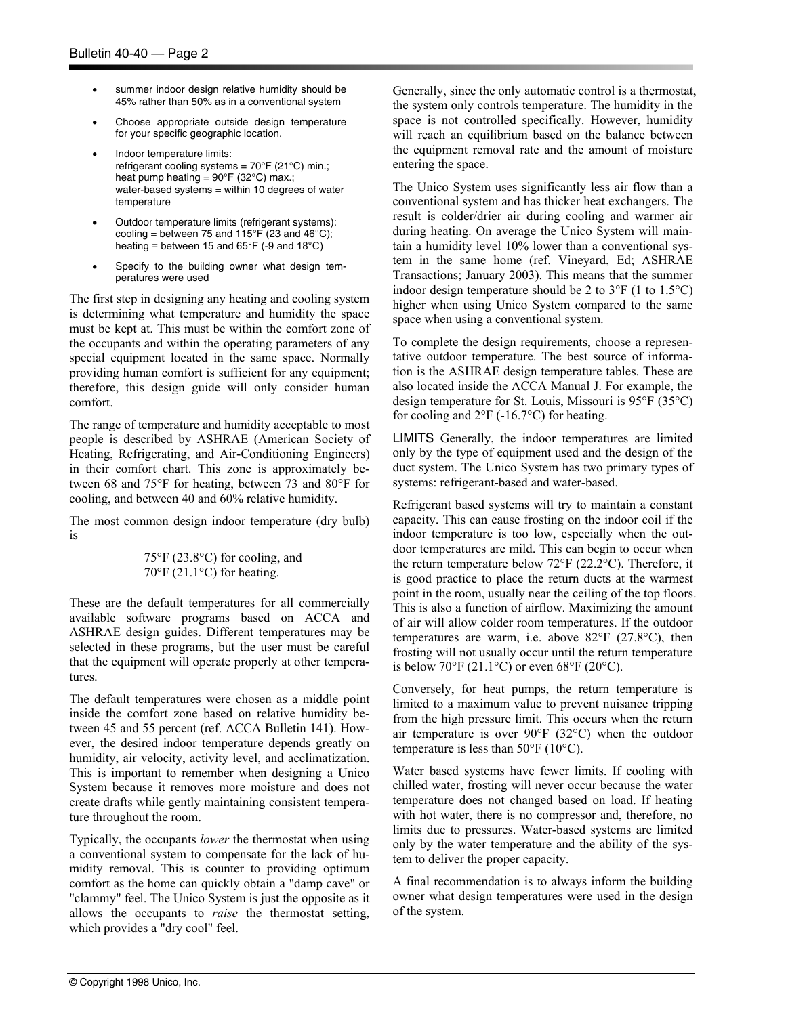- summer indoor design relative humidity should be 45% rather than 50% as in a conventional system
- Choose appropriate outside design temperature for your specific geographic location.
- Indoor temperature limits: refrigerant cooling systems =  $70^{\circ}$ F (21 $^{\circ}$ C) min.; heat pump heating =  $90^{\circ}$ F (32 $^{\circ}$ C) max.; water-based systems = within 10 degrees of water temperature
- Outdoor temperature limits (refrigerant systems): cooling = between 75 and  $115^{\circ}$ F (23 and 46 $^{\circ}$ C); heating = between 15 and  $65^{\circ}$ F (-9 and 18 $^{\circ}$ C)
- Specify to the building owner what design temperatures were used

The first step in designing any heating and cooling system is determining what temperature and humidity the space must be kept at. This must be within the comfort zone of the occupants and within the operating parameters of any special equipment located in the same space. Normally providing human comfort is sufficient for any equipment; therefore, this design guide will only consider human comfort.

The range of temperature and humidity acceptable to most people is described by ASHRAE (American Society of Heating, Refrigerating, and Air-Conditioning Engineers) in their comfort chart. This zone is approximately between 68 and 75°F for heating, between 73 and 80°F for cooling, and between 40 and 60% relative humidity.

The most common design indoor temperature (dry bulb) is

> 75°F (23.8°C) for cooling, and  $70^{\circ}$ F (21.1°C) for heating.

These are the default temperatures for all commercially available software programs based on ACCA and ASHRAE design guides. Different temperatures may be selected in these programs, but the user must be careful that the equipment will operate properly at other temperatures.

The default temperatures were chosen as a middle point inside the comfort zone based on relative humidity between 45 and 55 percent (ref. ACCA Bulletin 141). However, the desired indoor temperature depends greatly on humidity, air velocity, activity level, and acclimatization. This is important to remember when designing a Unico System because it removes more moisture and does not create drafts while gently maintaining consistent temperature throughout the room.

Typically, the occupants *lower* the thermostat when using a conventional system to compensate for the lack of humidity removal. This is counter to providing optimum comfort as the home can quickly obtain a "damp cave" or "clammy" feel. The Unico System is just the opposite as it allows the occupants to *raise* the thermostat setting, which provides a "dry cool" feel.

Generally, since the only automatic control is a thermostat, the system only controls temperature. The humidity in the space is not controlled specifically. However, humidity will reach an equilibrium based on the balance between the equipment removal rate and the amount of moisture entering the space.

The Unico System uses significantly less air flow than a conventional system and has thicker heat exchangers. The result is colder/drier air during cooling and warmer air during heating. On average the Unico System will maintain a humidity level 10% lower than a conventional system in the same home (ref. Vineyard, Ed; ASHRAE Transactions; January 2003). This means that the summer indoor design temperature should be 2 to 3°F (1 to 1.5°C) higher when using Unico System compared to the same space when using a conventional system.

To complete the design requirements, choose a representative outdoor temperature. The best source of information is the ASHRAE design temperature tables. These are also located inside the ACCA Manual J. For example, the design temperature for St. Louis, Missouri is 95°F (35°C) for cooling and  $2^{\circ}F$  (-16.7°C) for heating.

LIMITS Generally, the indoor temperatures are limited only by the type of equipment used and the design of the duct system. The Unico System has two primary types of systems: refrigerant-based and water-based.

Refrigerant based systems will try to maintain a constant capacity. This can cause frosting on the indoor coil if the indoor temperature is too low, especially when the outdoor temperatures are mild. This can begin to occur when the return temperature below 72°F (22.2°C). Therefore, it is good practice to place the return ducts at the warmest point in the room, usually near the ceiling of the top floors. This is also a function of airflow. Maximizing the amount of air will allow colder room temperatures. If the outdoor temperatures are warm, i.e. above 82°F (27.8°C), then frosting will not usually occur until the return temperature is below  $70^{\circ}$ F (21.1 $^{\circ}$ C) or even 68 $^{\circ}$ F (20 $^{\circ}$ C).

Conversely, for heat pumps, the return temperature is limited to a maximum value to prevent nuisance tripping from the high pressure limit. This occurs when the return air temperature is over 90°F (32°C) when the outdoor temperature is less than  $50^{\circ}$ F (10 $^{\circ}$ C).

Water based systems have fewer limits. If cooling with chilled water, frosting will never occur because the water temperature does not changed based on load. If heating with hot water, there is no compressor and, therefore, no limits due to pressures. Water-based systems are limited only by the water temperature and the ability of the system to deliver the proper capacity.

A final recommendation is to always inform the building owner what design temperatures were used in the design of the system.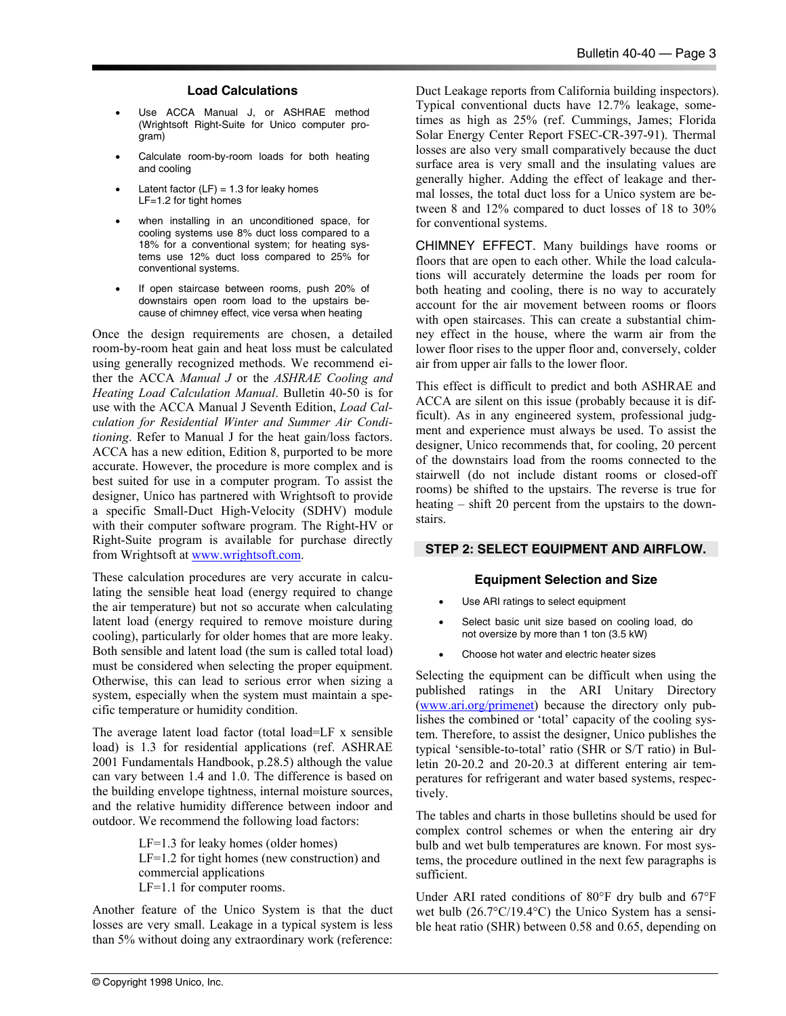#### **Load Calculations**

- Use ACCA Manual J, or ASHRAE method (Wrightsoft Right-Suite for Unico computer program)
- Calculate room-by-room loads for both heating and cooling
- Latent factor  $(LF) = 1.3$  for leaky homes LF=1.2 for tight homes
- when installing in an unconditioned space, for cooling systems use 8% duct loss compared to a 18% for a conventional system; for heating systems use 12% duct loss compared to 25% for conventional systems.
- If open staircase between rooms, push 20% of downstairs open room load to the upstairs because of chimney effect, vice versa when heating

Once the design requirements are chosen, a detailed room-by-room heat gain and heat loss must be calculated using generally recognized methods. We recommend either the ACCA *Manual J* or the *ASHRAE Cooling and Heating Load Calculation Manual*. Bulletin 40-50 is for use with the ACCA Manual J Seventh Edition, *Load Calculation for Residential Winter and Summer Air Conditioning*. Refer to Manual J for the heat gain/loss factors. ACCA has a new edition, Edition 8, purported to be more accurate. However, the procedure is more complex and is best suited for use in a computer program. To assist the designer, Unico has partnered with Wrightsoft to provide a specific Small-Duct High-Velocity (SDHV) module with their computer software program. The Right-HV or Right-Suite program is available for purchase directly from Wrightsoft at www.wrightsoft.com.

These calculation procedures are very accurate in calculating the sensible heat load (energy required to change the air temperature) but not so accurate when calculating latent load (energy required to remove moisture during cooling), particularly for older homes that are more leaky. Both sensible and latent load (the sum is called total load) must be considered when selecting the proper equipment. Otherwise, this can lead to serious error when sizing a system, especially when the system must maintain a specific temperature or humidity condition.

The average latent load factor (total load=LF x sensible load) is 1.3 for residential applications (ref. ASHRAE 2001 Fundamentals Handbook, p.28.5) although the value can vary between 1.4 and 1.0. The difference is based on the building envelope tightness, internal moisture sources, and the relative humidity difference between indoor and outdoor. We recommend the following load factors:

> LF=1.3 for leaky homes (older homes) LF=1.2 for tight homes (new construction) and commercial applications LF=1.1 for computer rooms.

Another feature of the Unico System is that the duct losses are very small. Leakage in a typical system is less than 5% without doing any extraordinary work (reference:

Duct Leakage reports from California building inspectors). Typical conventional ducts have 12.7% leakage, sometimes as high as 25% (ref. Cummings, James; Florida Solar Energy Center Report FSEC-CR-397-91). Thermal losses are also very small comparatively because the duct surface area is very small and the insulating values are generally higher. Adding the effect of leakage and thermal losses, the total duct loss for a Unico system are between 8 and 12% compared to duct losses of 18 to 30% for conventional systems.

CHIMNEY EFFECT. Many buildings have rooms or floors that are open to each other. While the load calculations will accurately determine the loads per room for both heating and cooling, there is no way to accurately account for the air movement between rooms or floors with open staircases. This can create a substantial chimney effect in the house, where the warm air from the lower floor rises to the upper floor and, conversely, colder air from upper air falls to the lower floor.

This effect is difficult to predict and both ASHRAE and ACCA are silent on this issue (probably because it is difficult). As in any engineered system, professional judgment and experience must always be used. To assist the designer, Unico recommends that, for cooling, 20 percent of the downstairs load from the rooms connected to the stairwell (do not include distant rooms or closed-off rooms) be shifted to the upstairs. The reverse is true for heating – shift 20 percent from the upstairs to the downstairs.

# **STEP 2: SELECT EQUIPMENT AND AIRFLOW.**

#### **Equipment Selection and Size**

- Use ARI ratings to select equipment
- Select basic unit size based on cooling load, do not oversize by more than 1 ton (3.5 kW)
- Choose hot water and electric heater sizes

Selecting the equipment can be difficult when using the published ratings in the ARI Unitary Directory (www.ari.org/primenet) because the directory only publishes the combined or 'total' capacity of the cooling system. Therefore, to assist the designer, Unico publishes the typical 'sensible-to-total' ratio (SHR or S/T ratio) in Bulletin 20-20.2 and 20-20.3 at different entering air temperatures for refrigerant and water based systems, respectively.

The tables and charts in those bulletins should be used for complex control schemes or when the entering air dry bulb and wet bulb temperatures are known. For most systems, the procedure outlined in the next few paragraphs is sufficient.

Under ARI rated conditions of 80°F dry bulb and 67°F wet bulb (26.7°C/19.4°C) the Unico System has a sensible heat ratio (SHR) between 0.58 and 0.65, depending on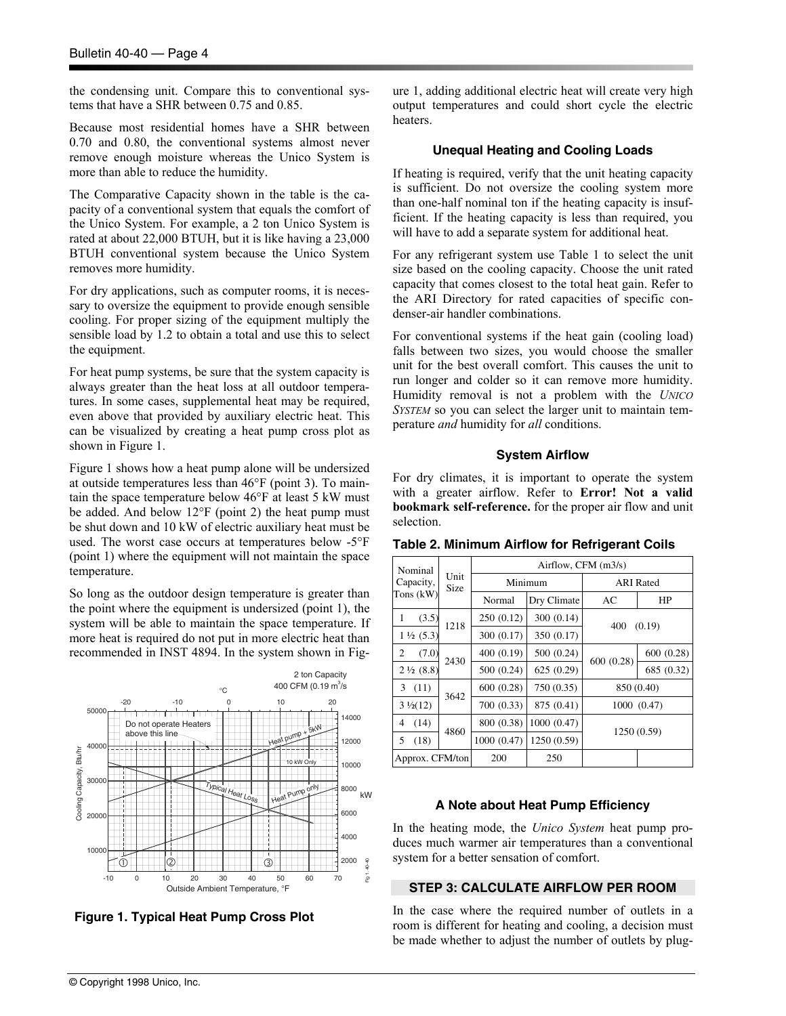the condensing unit. Compare this to conventional systems that have a SHR between 0.75 and 0.85.

Because most residential homes have a SHR between 0.70 and 0.80, the conventional systems almost never remove enough moisture whereas the Unico System is more than able to reduce the humidity.

The Comparative Capacity shown in the table is the capacity of a conventional system that equals the comfort of the Unico System. For example, a 2 ton Unico System is rated at about 22,000 BTUH, but it is like having a 23,000 BTUH conventional system because the Unico System removes more humidity.

For dry applications, such as computer rooms, it is necessary to oversize the equipment to provide enough sensible cooling. For proper sizing of the equipment multiply the sensible load by 1.2 to obtain a total and use this to select the equipment.

For heat pump systems, be sure that the system capacity is always greater than the heat loss at all outdoor temperatures. In some cases, supplemental heat may be required, even above that provided by auxiliary electric heat. This can be visualized by creating a heat pump cross plot as shown in Figure 1.

Figure 1 shows how a heat pump alone will be undersized at outside temperatures less than 46°F (point 3). To maintain the space temperature below 46°F at least 5 kW must be added. And below 12°F (point 2) the heat pump must be shut down and 10 kW of electric auxiliary heat must be used. The worst case occurs at temperatures below -5°F (point 1) where the equipment will not maintain the space temperature.

So long as the outdoor design temperature is greater than the point where the equipment is undersized (point 1), the system will be able to maintain the space temperature. If more heat is required do not put in more electric heat than recommended in INST 4894. In the system shown in Fig-



**Figure 1. Typical Heat Pump Cross Plot** 

ure 1, adding additional electric heat will create very high output temperatures and could short cycle the electric heaters.

#### **Unequal Heating and Cooling Loads**

If heating is required, verify that the unit heating capacity is sufficient. Do not oversize the cooling system more than one-half nominal ton if the heating capacity is insufficient. If the heating capacity is less than required, you will have to add a separate system for additional heat.

For any refrigerant system use Table 1 to select the unit size based on the cooling capacity. Choose the unit rated capacity that comes closest to the total heat gain. Refer to the ARI Directory for rated capacities of specific condenser-air handler combinations.

For conventional systems if the heat gain (cooling load) falls between two sizes, you would choose the smaller unit for the best overall comfort. This causes the unit to run longer and colder so it can remove more humidity. Humidity removal is not a problem with the *UNICO SYSTEM* so you can select the larger unit to maintain temperature *and* humidity for *all* conditions.

#### **System Airflow**

For dry climates, it is important to operate the system with a greater airflow. Refer to **Error! Not a valid bookmark self-reference.** for the proper air flow and unit selection.

| Nominal              |              | Airflow, CFM (m3/s) |             |                  |             |  |  |  |
|----------------------|--------------|---------------------|-------------|------------------|-------------|--|--|--|
| Capacity,            | Unit<br>Size | Minimum             |             | <b>ARI</b> Rated |             |  |  |  |
| Tons $(kW)$          |              | Normal              | Dry Climate | AC               | HP          |  |  |  |
| 1<br>(3.5)           | 1218         | 250 (0.12)          | 300(0.14)   | 400              | (0.19)      |  |  |  |
| $1\frac{1}{2}$ (5.3) |              | 300 (0.17)          | 350 (0.17)  |                  |             |  |  |  |
| (7.0)<br>2           | 2430         | 400 (0.19)          | 500 (0.24)  | 600 (0.28)       | 600 (0.28)  |  |  |  |
| $2\frac{1}{2}(8.8)$  |              | 500 (0.24)          | 625(0.29)   |                  | 685 (0.32)  |  |  |  |
| (11)<br>3            | 3642         | 600 (0.28)          | 750 (0.35)  | 850 (0.40)       |             |  |  |  |
| $3\frac{1}{2}(12)$   |              | 700 (0.33)          | 875 (0.41)  | 1000 (0.47)      |             |  |  |  |
| (14)<br>4            |              | 800 (0.38)          | 1000 (0.47) |                  | 1250 (0.59) |  |  |  |
| 5<br>(18)            | 4860         | 1000 (0.47)         | 1250 (0.59) |                  |             |  |  |  |
| Approx. CFM/ton      |              | 200                 | 250         |                  |             |  |  |  |

**Table 2. Minimum Airflow for Refrigerant Coils** 

#### **A Note about Heat Pump Efficiency**

In the heating mode, the *Unico System* heat pump produces much warmer air temperatures than a conventional system for a better sensation of comfort.

#### **STEP 3: CALCULATE AIRFLOW PER ROOM**

In the case where the required number of outlets in a room is different for heating and cooling, a decision must be made whether to adjust the number of outlets by plug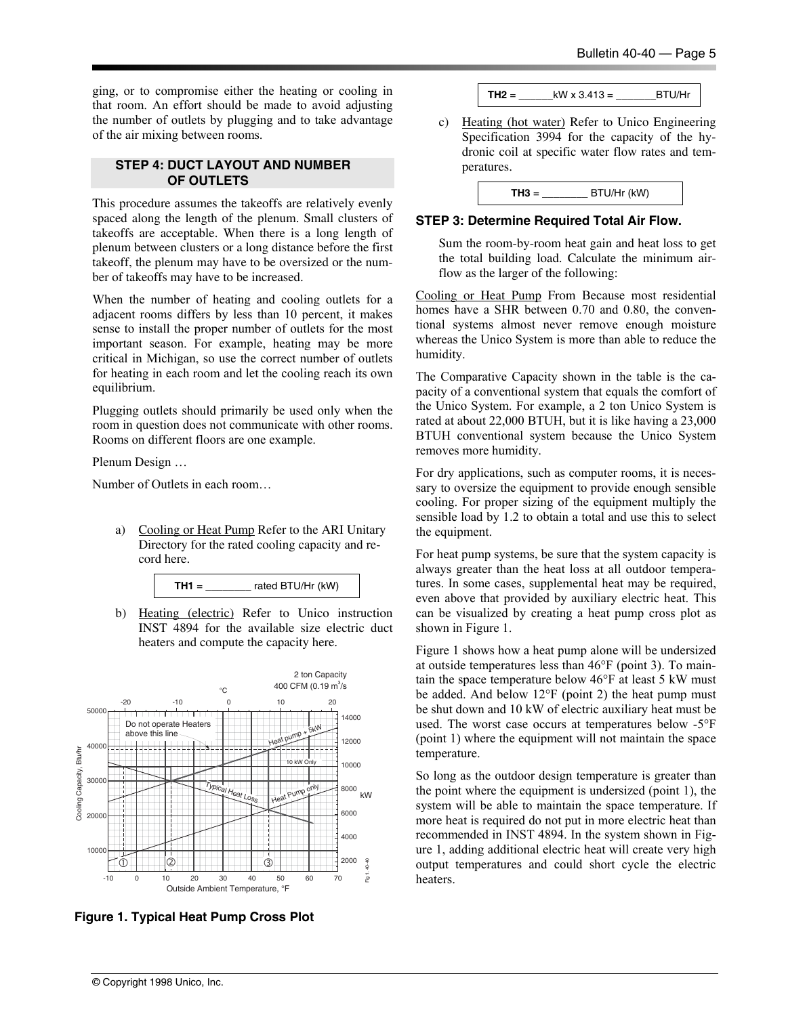ging, or to compromise either the heating or cooling in that room. An effort should be made to avoid adjusting the number of outlets by plugging and to take advantage of the air mixing between rooms.

#### **STEP 4: DUCT LAYOUT AND NUMBER OF OUTLETS**

This procedure assumes the takeoffs are relatively evenly spaced along the length of the plenum. Small clusters of takeoffs are acceptable. When there is a long length of plenum between clusters or a long distance before the first takeoff, the plenum may have to be oversized or the number of takeoffs may have to be increased.

When the number of heating and cooling outlets for a adjacent rooms differs by less than 10 percent, it makes sense to install the proper number of outlets for the most important season. For example, heating may be more critical in Michigan, so use the correct number of outlets for heating in each room and let the cooling reach its own equilibrium.

Plugging outlets should primarily be used only when the room in question does not communicate with other rooms. Rooms on different floors are one example.

Plenum Design …

Number of Outlets in each room…

a) Cooling or Heat Pump Refer to the ARI Unitary Directory for the rated cooling capacity and record here.



b) Heating (electric) Refer to Unico instruction INST 4894 for the available size electric duct heaters and compute the capacity here.



**Figure 1. Typical Heat Pump Cross Plot** 

 $TH2 =$   $kW \times 3.413 =$  BTU/Hr

c) Heating (hot water) Refer to Unico Engineering Specification 3994 for the capacity of the hydronic coil at specific water flow rates and temperatures.

| BTU/Hr (kW)<br>$TH3 =$ |  |
|------------------------|--|
|------------------------|--|

#### **STEP 3: Determine Required Total Air Flow.**

Sum the room-by-room heat gain and heat loss to get the total building load. Calculate the minimum airflow as the larger of the following:

Cooling or Heat Pump From Because most residential homes have a SHR between 0.70 and 0.80, the conventional systems almost never remove enough moisture whereas the Unico System is more than able to reduce the humidity.

The Comparative Capacity shown in the table is the capacity of a conventional system that equals the comfort of the Unico System. For example, a 2 ton Unico System is rated at about 22,000 BTUH, but it is like having a 23,000 BTUH conventional system because the Unico System removes more humidity.

For dry applications, such as computer rooms, it is necessary to oversize the equipment to provide enough sensible cooling. For proper sizing of the equipment multiply the sensible load by 1.2 to obtain a total and use this to select the equipment.

For heat pump systems, be sure that the system capacity is always greater than the heat loss at all outdoor temperatures. In some cases, supplemental heat may be required, even above that provided by auxiliary electric heat. This can be visualized by creating a heat pump cross plot as shown in Figure 1.

Figure 1 shows how a heat pump alone will be undersized at outside temperatures less than 46°F (point 3). To maintain the space temperature below 46°F at least 5 kW must be added. And below 12°F (point 2) the heat pump must be shut down and 10 kW of electric auxiliary heat must be used. The worst case occurs at temperatures below -5°F (point 1) where the equipment will not maintain the space temperature.

So long as the outdoor design temperature is greater than the point where the equipment is undersized (point 1), the system will be able to maintain the space temperature. If more heat is required do not put in more electric heat than recommended in INST 4894. In the system shown in Figure 1, adding additional electric heat will create very high output temperatures and could short cycle the electric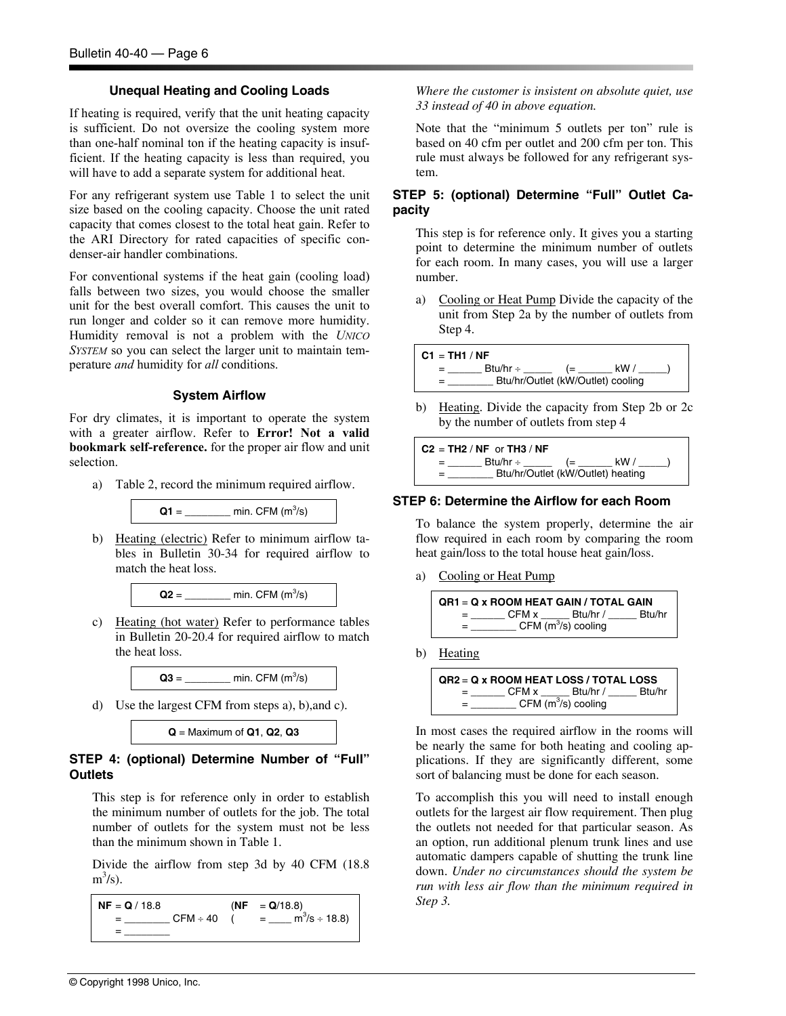#### **Unequal Heating and Cooling Loads**

If heating is required, verify that the unit heating capacity is sufficient. Do not oversize the cooling system more than one-half nominal ton if the heating capacity is insufficient. If the heating capacity is less than required, you will have to add a separate system for additional heat.

For any refrigerant system use Table 1 to select the unit size based on the cooling capacity. Choose the unit rated capacity that comes closest to the total heat gain. Refer to the ARI Directory for rated capacities of specific condenser-air handler combinations.

For conventional systems if the heat gain (cooling load) falls between two sizes, you would choose the smaller unit for the best overall comfort. This causes the unit to run longer and colder so it can remove more humidity. Humidity removal is not a problem with the *UNICO SYSTEM* so you can select the larger unit to maintain temperature *and* humidity for *all* conditions.

#### **System Airflow**

For dry climates, it is important to operate the system with a greater airflow. Refer to **Error! Not a valid bookmark self-reference.** for the proper air flow and unit selection.

a) Table 2, record the minimum required airflow.



b) Heating (electric) Refer to minimum airflow tables in Bulletin 30-34 for required airflow to match the heat loss.



c) Heating (hot water) Refer to performance tables in Bulletin 20-20.4 for required airflow to match the heat loss.



d) Use the largest CFM from steps a), b),and c).

**Q** = Maximum of **Q1**, **Q2**, **Q3**

# **STEP 4: (optional) Determine Number of "Full" Outlets**

This step is for reference only in order to establish the minimum number of outlets for the job. The total number of outlets for the system must not be less than the minimum shown in Table 1.

Divide the airflow from step 3d by 40 CFM (18.8  $m^3/s$ ).

```
NF = Q / 18.8 (NF = Q/18.8)
 = ________ CFM ÷ 40 ( = ____ m3
                                                                                                = m^3/s \div 18.8= \frac{1}{2} \frac{1}{2} \frac{1}{2} \frac{1}{2} \frac{1}{2} \frac{1}{2} \frac{1}{2} \frac{1}{2} \frac{1}{2} \frac{1}{2} \frac{1}{2} \frac{1}{2} \frac{1}{2} \frac{1}{2} \frac{1}{2} \frac{1}{2} \frac{1}{2} \frac{1}{2} \frac{1}{2} \frac{1}{2} \frac{1}{2} \frac{1}{2
```
*Where the customer is insistent on absolute quiet, use 33 instead of 40 in above equation.* 

Note that the "minimum 5 outlets per ton" rule is based on 40 cfm per outlet and 200 cfm per ton. This rule must always be followed for any refrigerant system.

# **STEP 5: (optional) Determine "Full" Outlet Capacity**

This step is for reference only. It gives you a starting point to determine the minimum number of outlets for each room. In many cases, you will use a larger number.

a) Cooling or Heat Pump Divide the capacity of the unit from Step 2a by the number of outlets from Step 4.



b) Heating. Divide the capacity from Step 2b or 2c by the number of outlets from step 4

**C2** = **TH2** / **NF** or **TH3** / **NF** = \_\_\_\_\_\_ Btu/hr ÷ \_\_\_\_\_ (= \_\_\_\_\_\_ kW / \_\_\_\_\_) Btu/hr/Outlet (kW/Outlet) heating

#### **STEP 6: Determine the Airflow for each Room**

To balance the system properly, determine the air flow required in each room by comparing the room heat gain/loss to the total house heat gain/loss.

a) Cooling or Heat Pump



b) Heating

**QR2** = **Q x ROOM HEAT LOSS / TOTAL LOSS** = \_\_\_\_\_\_ CFM x \_\_\_\_\_ Btu/hr / \_\_\_\_\_ Btu/hr  $=$  \_\_\_\_\_\_\_\_\_\_ CFM (m<sup>3</sup>/s) cooling

In most cases the required airflow in the rooms will be nearly the same for both heating and cooling applications. If they are significantly different, some sort of balancing must be done for each season.

To accomplish this you will need to install enough outlets for the largest air flow requirement. Then plug the outlets not needed for that particular season. As an option, run additional plenum trunk lines and use automatic dampers capable of shutting the trunk line down. *Under no circumstances should the system be run with less air flow than the minimum required in Step 3.*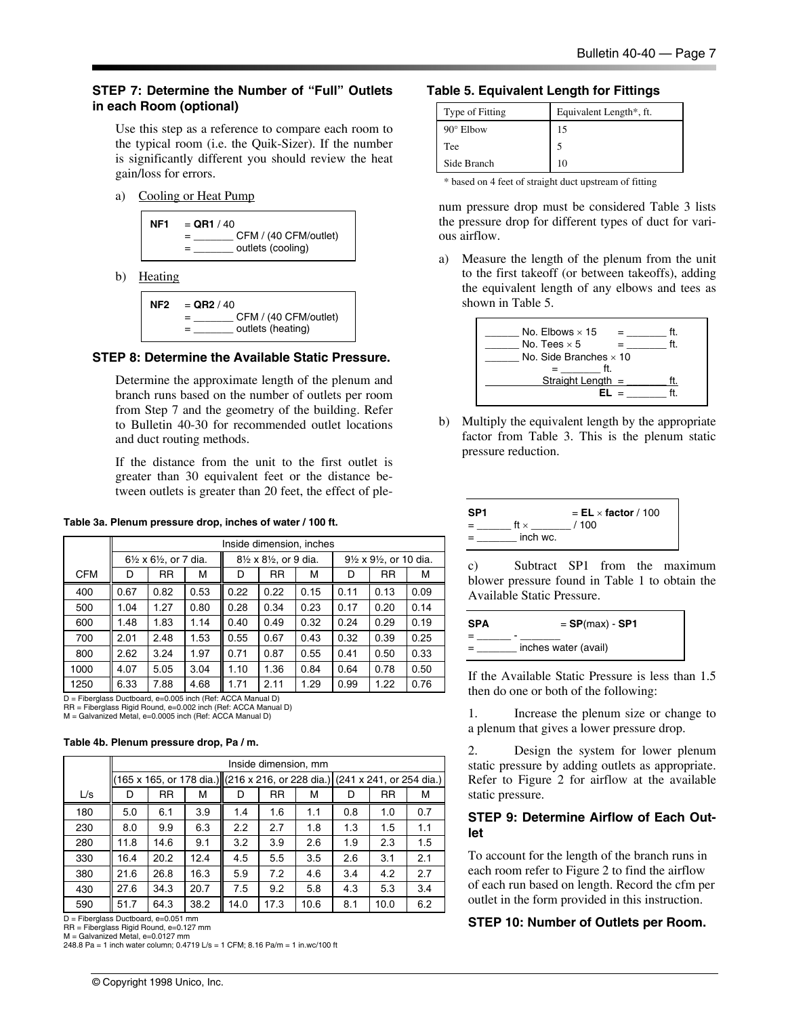# **STEP 7: Determine the Number of "Full" Outlets in each Room (optional)**

Use this step as a reference to compare each room to the typical room (i.e. the Quik-Sizer). If the number is significantly different you should review the heat gain/loss for errors.

a) Cooling or Heat Pump



b) Heating

| NF2 | $=$ QR2 / 40                      |
|-----|-----------------------------------|
|     | CFM / (40 CFM/outlet)<br>$\equiv$ |
|     | outlets (heating)                 |

### **STEP 8: Determine the Available Static Pressure.**

Determine the approximate length of the plenum and branch runs based on the number of outlets per room from Step 7 and the geometry of the building. Refer to Bulletin 40-30 for recommended outlet locations and duct routing methods.

If the distance from the unit to the first outlet is greater than 30 equivalent feet or the distance between outlets is greater than 20 feet, the effect of ple-

#### **Table 3a. Plenum pressure drop, inches of water / 100 ft.**

|            |      | Inside dimension, inches                       |      |      |                                                |      |      |                         |      |  |
|------------|------|------------------------------------------------|------|------|------------------------------------------------|------|------|-------------------------|------|--|
|            |      | $6\frac{1}{2} \times 6\frac{1}{2}$ , or 7 dia. |      |      | $8\frac{1}{2} \times 8\frac{1}{2}$ , or 9 dia. |      |      | 91/2 x 91/2, or 10 dia. |      |  |
| <b>CFM</b> | D    | <b>RR</b>                                      | М    | D    | <b>RR</b>                                      | м    | D    | <b>RR</b>               | М    |  |
| 400        | 0.67 | 0.82                                           | 0.53 | 0.22 | 0.22                                           | 0.15 | 0.11 | 0.13                    | 0.09 |  |
| 500        | 1.04 | 1.27                                           | 0.80 | 0.28 | 0.34                                           | 0.23 | 0.17 | 0.20                    | 0.14 |  |
| 600        | 1.48 | 1.83                                           | 1.14 | 0.40 | 0.49                                           | 0.32 | 0.24 | 0.29                    | 0.19 |  |
| 700        | 2.01 | 2.48                                           | 1.53 | 0.55 | 0.67                                           | 0.43 | 0.32 | 0.39                    | 0.25 |  |
| 800        | 2.62 | 3.24                                           | 1.97 | 0.71 | 0.87                                           | 0.55 | 0.41 | 0.50                    | 0.33 |  |
| 1000       | 4.07 | 5.05                                           | 3.04 | 1.10 | 1.36                                           | 0.84 | 0.64 | 0.78                    | 0.50 |  |
| 1250       | 6.33 | 7.88                                           | 4.68 | 1.71 | 2.11                                           | 1.29 | 0.99 | 1.22                    | 0.76 |  |

D = Fiberglass Ductboard, e=0.005 inch (Ref: ACCA Manual D) RR = Fiberglass Rigid Round, e=0.002 inch (Ref: ACCA Manual D)

M = Galvanized Metal, e=0.0005 inch (Ref: ACCA Manual D)

#### **Table 4b. Plenum pressure drop, Pa / m.**

|     |      | Inside dimension, mm |      |      |           |      |                                                                           |           |     |
|-----|------|----------------------|------|------|-----------|------|---------------------------------------------------------------------------|-----------|-----|
|     |      |                      |      |      |           |      | 165 x 165, or 178 dia.) (216 x 216, or 228 dia.) (241 x 241, or 254 dia.) |           |     |
| L/s | D    | <b>RR</b>            | М    | D    | <b>RR</b> | м    | D                                                                         | <b>RR</b> | М   |
| 180 | 5.0  | 6.1                  | 3.9  | 1.4  | 1.6       | 1.1  | 0.8                                                                       | 1.0       | 0.7 |
| 230 | 8.0  | 9.9                  | 6.3  | 2.2  | 2.7       | 1.8  | 1.3                                                                       | 1.5       | 1.1 |
| 280 | 11.8 | 14.6                 | 9.1  | 3.2  | 3.9       | 2.6  | 1.9                                                                       | 2.3       | 1.5 |
| 330 | 16.4 | 20.2                 | 12.4 | 4.5  | 5.5       | 3.5  | 2.6                                                                       | 3.1       | 2.1 |
| 380 | 21.6 | 26.8                 | 16.3 | 5.9  | 7.2       | 4.6  | 3.4                                                                       | 4.2       | 2.7 |
| 430 | 27.6 | 34.3                 | 20.7 | 7.5  | 9.2       | 5.8  | 4.3                                                                       | 5.3       | 3.4 |
| 590 | 51.7 | 64.3                 | 38.2 | 14.0 | 17.3      | 10.6 | 8.1                                                                       | 10.0      | 6.2 |

D = Fiberglass Ductboard, e=0.051 mm RR = Fiberglass Rigid Round, e=0.127 mm

 $M =$  Galvanized Metal, e=0.0127 mm

248.8 Pa = 1 inch water column; 0.4719 L/s = 1 CFM; 8.16 Pa/m = 1 in.wc/100 ft

#### **Table 5. Equivalent Length for Fittings**

| Type of Fitting  | Equivalent Length*, ft. |
|------------------|-------------------------|
| $90^\circ$ Elbow | 15                      |
| Tee              |                         |
| Side Branch      |                         |

\* based on 4 feet of straight duct upstream of fitting

num pressure drop must be considered Table 3 lists the pressure drop for different types of duct for various airflow.

a) Measure the length of the plenum from the unit to the first takeoff (or between takeoffs), adding the equivalent length of any elbows and tees as shown in Table 5.



b) Multiply the equivalent length by the appropriate factor from Table 3. This is the plenum static pressure reduction.

| SP1             | $=$ EL $\times$ factor / 100 |
|-----------------|------------------------------|
| ft $\times$     | / 100                        |
| inch wc.<br>$=$ |                              |

c) Subtract SP1 from the maximum blower pressure found in Table 1 to obtain the Available Static Pressure.

| <b>SPA</b> | $=$ SP(max) - SP1    |
|------------|----------------------|
|            |                      |
|            | inches water (avail) |

If the Available Static Pressure is less than 1.5 then do one or both of the following:

1. Increase the plenum size or change to a plenum that gives a lower pressure drop.

2. Design the system for lower plenum static pressure by adding outlets as appropriate. Refer to Figure 2 for airflow at the available static pressure.

#### **STEP 9: Determine Airflow of Each Outlet**

To account for the length of the branch runs in each room refer to Figure 2 to find the airflow of each run based on length. Record the cfm per outlet in the form provided in this instruction.

#### **STEP 10: Number of Outlets per Room.**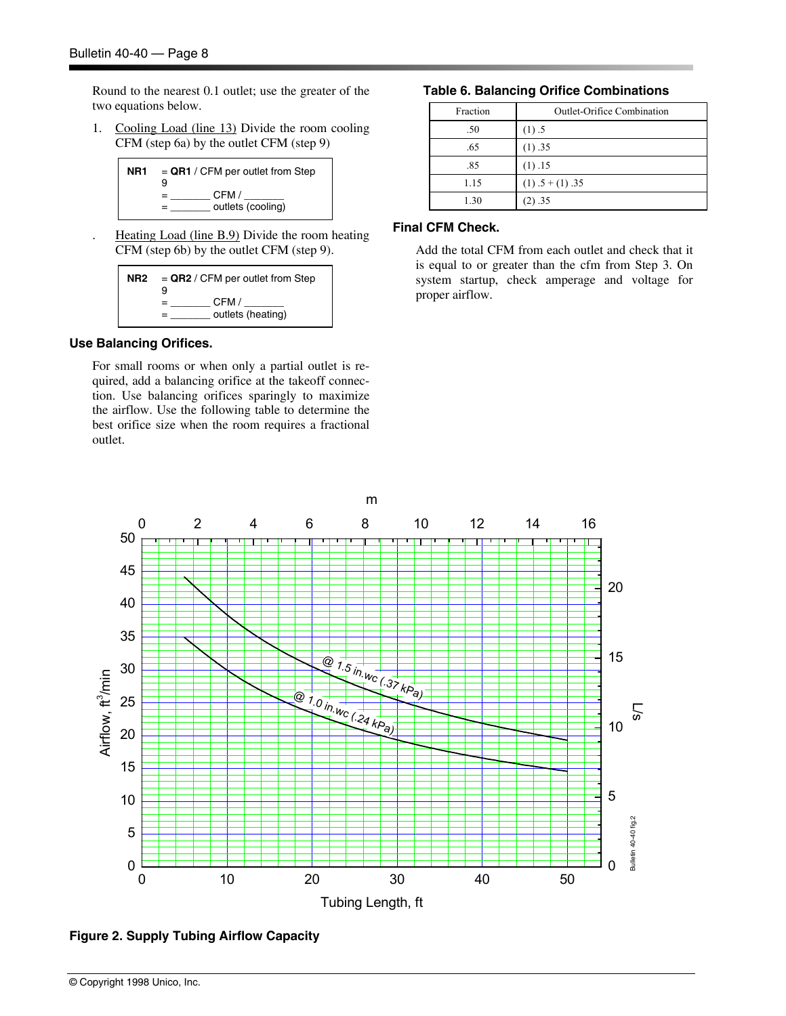Round to the nearest 0.1 outlet; use the greater of the two equations below.

1. Cooling Load (line 13) Divide the room cooling CFM (step 6a) by the outlet CFM (step 9)

| NR1 | $=$ QR1 / CFM per outlet from Step<br>9 |
|-----|-----------------------------------------|
|     | CFM/<br>=<br>outlets (cooling)          |

Heating Load (line B.9) Divide the room heating CFM (step 6b) by the outlet CFM (step 9).

| NR2 | $=$ QR2 / CFM per outlet from Step<br>9 |
|-----|-----------------------------------------|
|     | CFM /<br>outlets (heating)              |

#### **Use Balancing Orifices.**

For small rooms or when only a partial outlet is required, add a balancing orifice at the takeoff connection. Use balancing orifices sparingly to maximize the airflow. Use the following table to determine the best orifice size when the room requires a fractional outlet.

#### **Table 6. Balancing Orifice Combinations**

| Fraction | <b>Outlet-Orifice Combination</b> |
|----------|-----------------------------------|
| .50      | (1).5                             |
| .65      | (1) .35                           |
| .85      | (1) .15                           |
| 1.15     | $(1) .5 + (1) .35$                |
| 1.30     | (2) .35                           |

#### **Final CFM Check.**

Add the total CFM from each outlet and check that it is equal to or greater than the cfm from Step 3. On system startup, check amperage and voltage for proper airflow.



**Figure 2. Supply Tubing Airflow Capacity**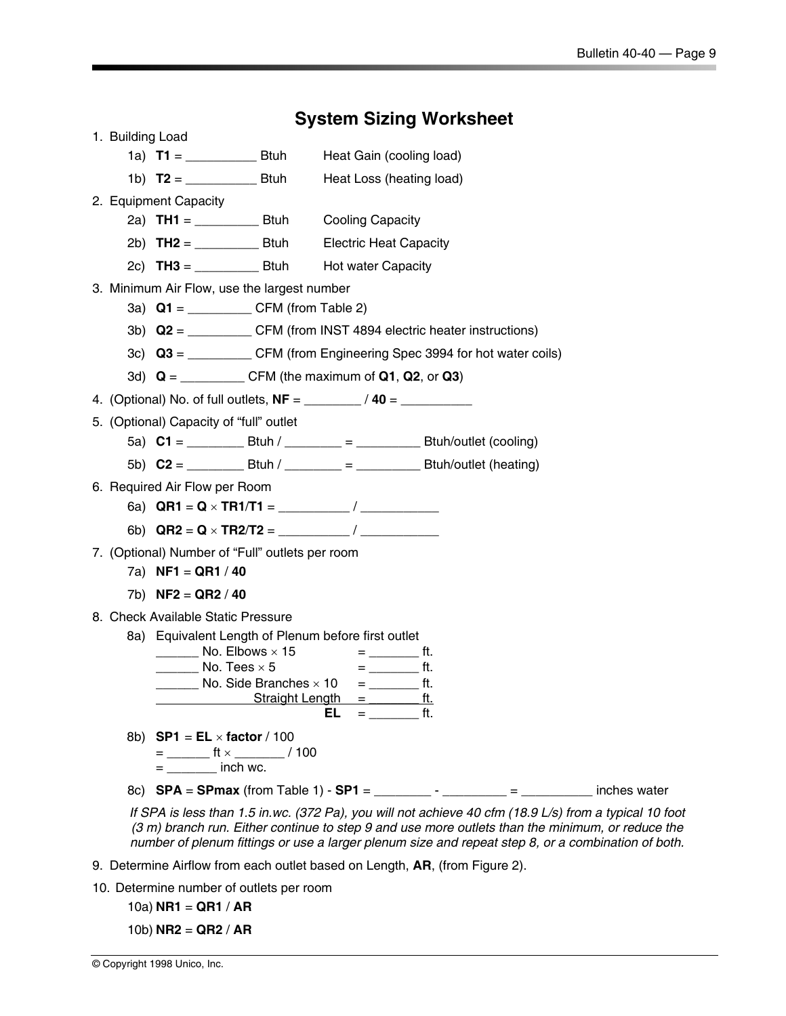**Contract Contract** 

| <b>System Sizing Worksheet</b> |                                                                               |                                                |                                                                                                                                                                                                            |  |  |  |  |  |
|--------------------------------|-------------------------------------------------------------------------------|------------------------------------------------|------------------------------------------------------------------------------------------------------------------------------------------------------------------------------------------------------------|--|--|--|--|--|
| 1. Building Load               |                                                                               |                                                |                                                                                                                                                                                                            |  |  |  |  |  |
|                                |                                                                               | Heat Gain (cooling load)                       |                                                                                                                                                                                                            |  |  |  |  |  |
|                                |                                                                               | Heat Loss (heating load)                       |                                                                                                                                                                                                            |  |  |  |  |  |
|                                | 2. Equipment Capacity                                                         |                                                |                                                                                                                                                                                                            |  |  |  |  |  |
|                                |                                                                               | <b>Cooling Capacity</b>                        |                                                                                                                                                                                                            |  |  |  |  |  |
|                                |                                                                               | <b>Electric Heat Capacity</b>                  |                                                                                                                                                                                                            |  |  |  |  |  |
|                                | 2c) $TH3 =$ Btuh                                                              | <b>Hot water Capacity</b>                      |                                                                                                                                                                                                            |  |  |  |  |  |
|                                | 3. Minimum Air Flow, use the largest number                                   |                                                |                                                                                                                                                                                                            |  |  |  |  |  |
|                                |                                                                               |                                                |                                                                                                                                                                                                            |  |  |  |  |  |
|                                | 3b) $Q2 =$ ______________ CFM (from INST 4894 electric heater instructions)   |                                                |                                                                                                                                                                                                            |  |  |  |  |  |
|                                |                                                                               |                                                | 3c) Q3 = __________ CFM (from Engineering Spec 3994 for hot water coils)                                                                                                                                   |  |  |  |  |  |
|                                |                                                                               |                                                |                                                                                                                                                                                                            |  |  |  |  |  |
|                                |                                                                               |                                                |                                                                                                                                                                                                            |  |  |  |  |  |
|                                | 5. (Optional) Capacity of "full" outlet                                       |                                                |                                                                                                                                                                                                            |  |  |  |  |  |
|                                |                                                                               |                                                |                                                                                                                                                                                                            |  |  |  |  |  |
|                                |                                                                               |                                                |                                                                                                                                                                                                            |  |  |  |  |  |
|                                | 6. Required Air Flow per Room                                                 |                                                |                                                                                                                                                                                                            |  |  |  |  |  |
|                                |                                                                               |                                                |                                                                                                                                                                                                            |  |  |  |  |  |
|                                |                                                                               |                                                |                                                                                                                                                                                                            |  |  |  |  |  |
|                                | 7. (Optional) Number of "Full" outlets per room                               |                                                |                                                                                                                                                                                                            |  |  |  |  |  |
|                                | 7a) $NF1 = QR1 / 40$                                                          |                                                |                                                                                                                                                                                                            |  |  |  |  |  |
|                                | 7b) $NF2 = QR2 / 40$                                                          |                                                |                                                                                                                                                                                                            |  |  |  |  |  |
|                                | 8. Check Available Static Pressure                                            |                                                |                                                                                                                                                                                                            |  |  |  |  |  |
|                                | 8a) Equivalent Length of Plenum before first outlet<br>No. Elbows $\times$ 15 | $=$ ft.                                        |                                                                                                                                                                                                            |  |  |  |  |  |
|                                | $\frac{1}{2}$ No. Tees $\times$ 5                                             | $=$ ______________ ft.                         |                                                                                                                                                                                                            |  |  |  |  |  |
|                                |                                                                               | No. Side Branches $\times$ 10 = __________ ft. |                                                                                                                                                                                                            |  |  |  |  |  |
|                                |                                                                               | $Straight Length =$ ft.<br>$=$ ft.<br>EL.      |                                                                                                                                                                                                            |  |  |  |  |  |
|                                | 8b) $SP1 = EL \times factor / 100$                                            |                                                |                                                                                                                                                                                                            |  |  |  |  |  |
|                                | $=$ ____________ ft $\times$ _______________/ 100                             |                                                |                                                                                                                                                                                                            |  |  |  |  |  |
|                                | $=$ __________ inch wc.                                                       |                                                |                                                                                                                                                                                                            |  |  |  |  |  |
|                                |                                                                               |                                                | 8c) <b>SPA</b> = <b>SPmax</b> (from Table 1) - <b>SP1</b> = ___________ - _________ = _________ inches water                                                                                               |  |  |  |  |  |
|                                |                                                                               |                                                | If SPA is less than 1.5 in.wc. (372 Pa), you will not achieve 40 cfm (18.9 L/s) from a typical 10 foot<br>(3 m) branch run. Either continue to step 9 and use more outlets than the minimum, or reduce the |  |  |  |  |  |
|                                |                                                                               |                                                | number of plenum fittings or use a larger plenum size and repeat step 8, or a combination of both.                                                                                                         |  |  |  |  |  |
|                                |                                                                               |                                                |                                                                                                                                                                                                            |  |  |  |  |  |

- 9. Determine Airflow from each outlet based on Length, **AR**, (from Figure 2).
- 10. Determine number of outlets per room
	- 10a) **NR1** = **QR1** / **AR**
	- 10b) **NR2** = **QR2** / **AR**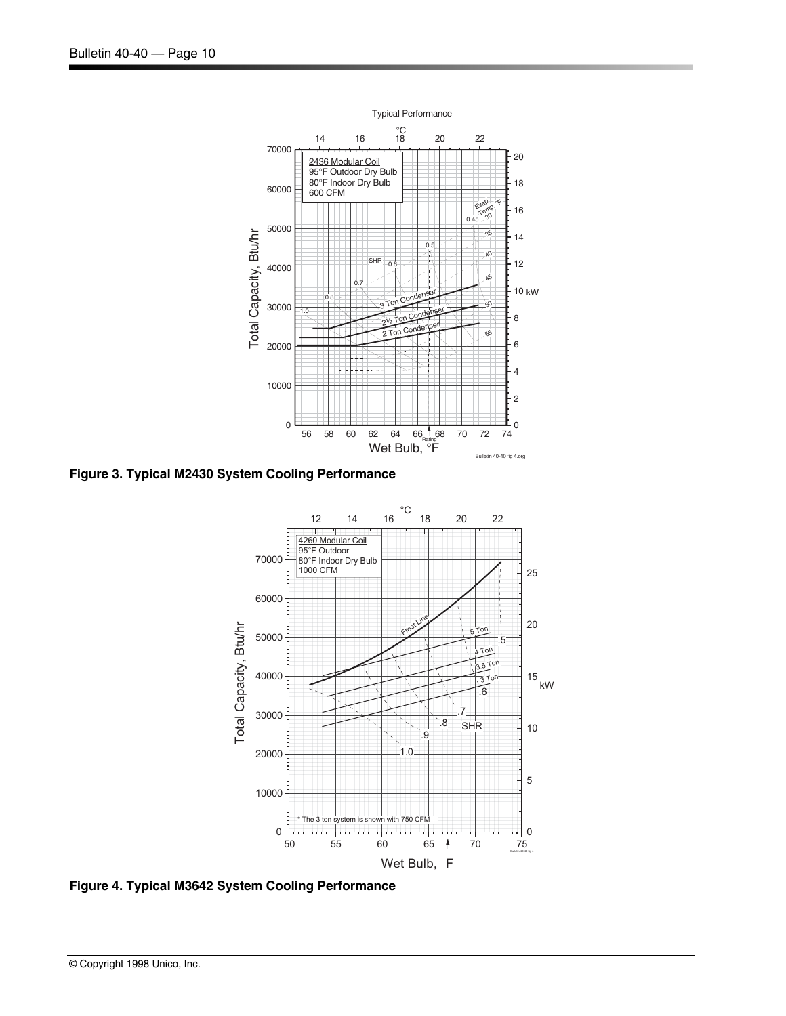

**Figure 3. Typical M2430 System Cooling Performance** 



**Figure 4. Typical M3642 System Cooling Performance**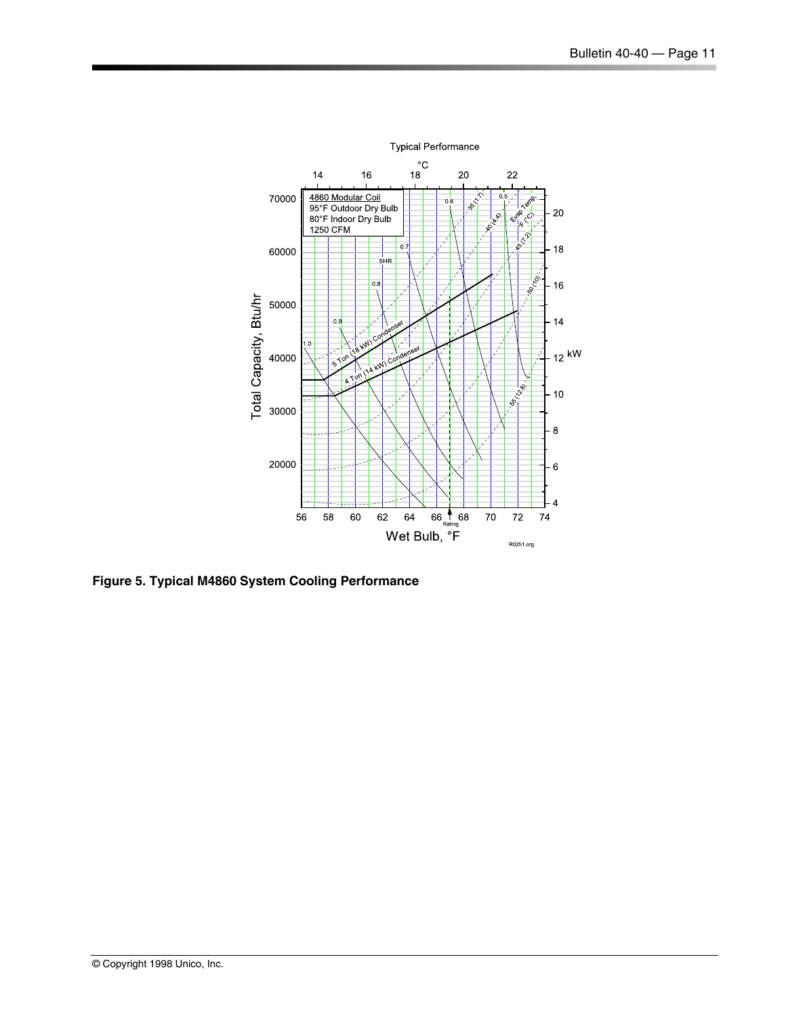

**Figure 5. Typical M4860 System Cooling Performance**